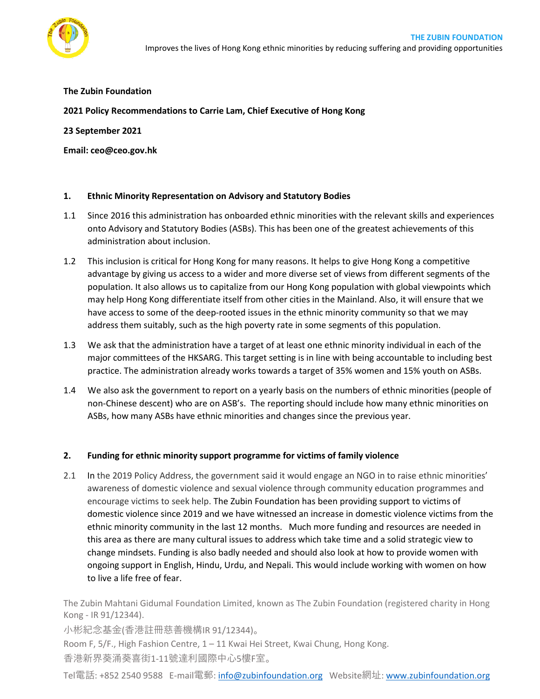

**The Zubin Foundation**

**2021 Policy Recommendations to Carrie Lam, Chief Executive of Hong Kong**

**23 September 2021**

**Email: ceo@ceo.gov.hk**

## **1. Ethnic Minority Representation on Advisory and Statutory Bodies**

- 1.1 Since 2016 this administration has onboarded ethnic minorities with the relevant skills and experiences onto Advisory and Statutory Bodies (ASBs). This has been one of the greatest achievements of this administration about inclusion.
- 1.2 This inclusion is critical for Hong Kong for many reasons. It helps to give Hong Kong a competitive advantage by giving us access to a wider and more diverse set of views from different segments of the population. It also allows us to capitalize from our Hong Kong population with global viewpoints which may help Hong Kong differentiate itself from other cities in the Mainland. Also, it will ensure that we have access to some of the deep-rooted issues in the ethnic minority community so that we may address them suitably, such as the high poverty rate in some segments of this population.
- 1.3 We ask that the administration have a target of at least one ethnic minority individual in each of the major committees of the HKSARG. This target setting is in line with being accountable to including best practice. The administration already works towards a target of 35% women and 15% youth on ASBs.
- 1.4 We also ask the government to report on a yearly basis on the numbers of ethnic minorities (people of non-Chinese descent) who are on ASB's. The reporting should include how many ethnic minorities on ASBs, how many ASBs have ethnic minorities and changes since the previous year.

# **2. Funding for ethnic minority support programme for victims of family violence**

2.1 In the 2019 Policy Address, the government said it would engage an NGO in to raise ethnic minorities' awareness of domestic violence and sexual violence through community education programmes and encourage victims to seek help. The Zubin Foundation has been providing support to victims of domestic violence since 2019 and we have witnessed an increase in domestic violence victims from the ethnic minority community in the last 12 months. Much more funding and resources are needed in this area as there are many cultural issues to address which take time and a solid strategic view to change mindsets. Funding is also badly needed and should also look at how to provide women with ongoing support in English, Hindu, Urdu, and Nepali. This would include working with women on how to live a life free of fear.

The Zubin Mahtani Gidumal Foundation Limited, known as The Zubin Foundation (registered charity in Hong Kong - IR 91/12344).

小彬紀念基金(香港註冊慈善機構IR 91/12344)。

Room F, 5/F., High Fashion Centre, 1 – 11 Kwai Hei Street, Kwai Chung, Hong Kong.

香港新界葵涌葵喜街1-11號達利國際中心5樓F室。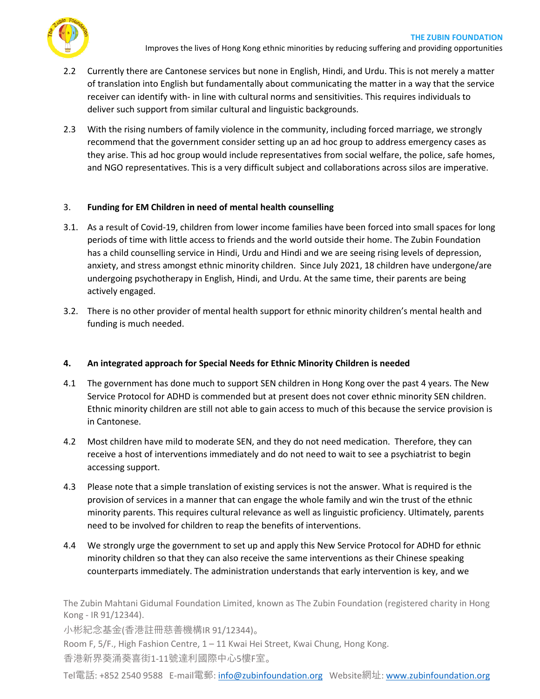

- 2.2 Currently there are Cantonese services but none in English, Hindi, and Urdu. This is not merely a matter of translation into English but fundamentally about communicating the matter in a way that the service receiver can identify with- in line with cultural norms and sensitivities. This requires individuals to deliver such support from similar cultural and linguistic backgrounds.
- 2.3 With the rising numbers of family violence in the community, including forced marriage, we strongly recommend that the government consider setting up an ad hoc group to address emergency cases as they arise. This ad hoc group would include representatives from social welfare, the police, safe homes, and NGO representatives. This is a very difficult subject and collaborations across silos are imperative.

## 3. **Funding for EM Children in need of mental health counselling**

- 3.1. As a result of Covid-19, children from lower income families have been forced into small spaces for long periods of time with little access to friends and the world outside their home. The Zubin Foundation has a child counselling service in Hindi, Urdu and Hindi and we are seeing rising levels of depression, anxiety, and stress amongst ethnic minority children. Since July 2021, 18 children have undergone/are undergoing psychotherapy in English, Hindi, and Urdu. At the same time, their parents are being actively engaged.
- 3.2. There is no other provider of mental health support for ethnic minority children's mental health and funding is much needed.

## **4. An integrated approach for Special Needs for Ethnic Minority Children is needed**

- 4.1 The government has done much to support SEN children in Hong Kong over the past 4 years. The New Service Protocol for ADHD is commended but at present does not cover ethnic minority SEN children. Ethnic minority children are still not able to gain access to much of this because the service provision is in Cantonese.
- 4.2 Most children have mild to moderate SEN, and they do not need medication. Therefore, they can receive a host of interventions immediately and do not need to wait to see a psychiatrist to begin accessing support.
- 4.3 Please note that a simple translation of existing services is not the answer. What is required is the provision of services in a manner that can engage the whole family and win the trust of the ethnic minority parents. This requires cultural relevance as well as linguistic proficiency. Ultimately, parents need to be involved for children to reap the benefits of interventions.
- 4.4 We strongly urge the government to set up and apply this New Service Protocol for ADHD for ethnic minority children so that they can also receive the same interventions as their Chinese speaking counterparts immediately. The administration understands that early intervention is key, and we

The Zubin Mahtani Gidumal Foundation Limited, known as The Zubin Foundation (registered charity in Hong Kong - IR 91/12344).

小彬紀念基金(香港註冊慈善機構IR 91/12344)。

Room F, 5/F., High Fashion Centre, 1 – 11 Kwai Hei Street, Kwai Chung, Hong Kong.

香港新界葵涌葵喜街1-11號達利國際中心5樓F室。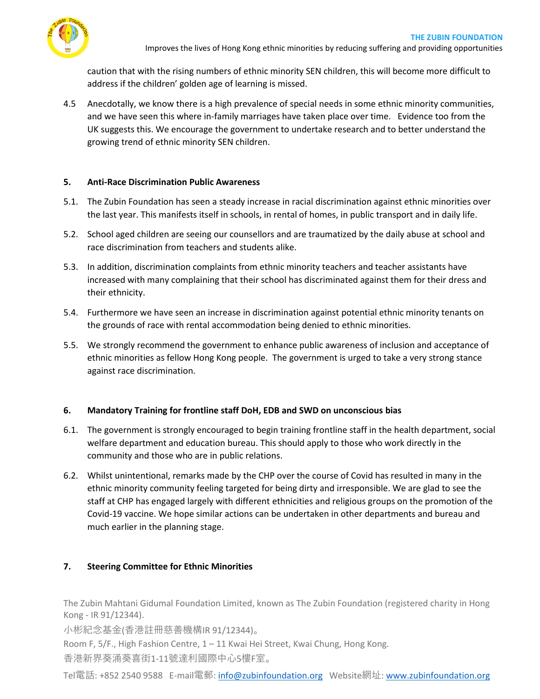

caution that with the rising numbers of ethnic minority SEN children, this will become more difficult to address if the children' golden age of learning is missed.

4.5 Anecdotally, we know there is a high prevalence of special needs in some ethnic minority communities, and we have seen this where in-family marriages have taken place over time. Evidence too from the UK suggests this. We encourage the government to undertake research and to better understand the growing trend of ethnic minority SEN children.

## **5. Anti-Race Discrimination Public Awareness**

- 5.1. The Zubin Foundation has seen a steady increase in racial discrimination against ethnic minorities over the last year. This manifests itself in schools, in rental of homes, in public transport and in daily life.
- 5.2. School aged children are seeing our counsellors and are traumatized by the daily abuse at school and race discrimination from teachers and students alike.
- 5.3. In addition, discrimination complaints from ethnic minority teachers and teacher assistants have increased with many complaining that their school has discriminated against them for their dress and their ethnicity.
- 5.4. Furthermore we have seen an increase in discrimination against potential ethnic minority tenants on the grounds of race with rental accommodation being denied to ethnic minorities.
- 5.5. We strongly recommend the government to enhance public awareness of inclusion and acceptance of ethnic minorities as fellow Hong Kong people. The government is urged to take a very strong stance against race discrimination.

## **6. Mandatory Training for frontline staff DoH, EDB and SWD on unconscious bias**

- 6.1. The government is strongly encouraged to begin training frontline staff in the health department, social welfare department and education bureau. This should apply to those who work directly in the community and those who are in public relations.
- 6.2. Whilst unintentional, remarks made by the CHP over the course of Covid has resulted in many in the ethnic minority community feeling targeted for being dirty and irresponsible. We are glad to see the staff at CHP has engaged largely with different ethnicities and religious groups on the promotion of the Covid-19 vaccine. We hope similar actions can be undertaken in other departments and bureau and much earlier in the planning stage.

## **7. Steering Committee for Ethnic Minorities**

The Zubin Mahtani Gidumal Foundation Limited, known as The Zubin Foundation (registered charity in Hong Kong - IR 91/12344).

小彬紀念基金(香港註冊慈善機構IR 91/12344)。

Room F, 5/F., High Fashion Centre, 1 – 11 Kwai Hei Street, Kwai Chung, Hong Kong.

香港新界葵涌葵喜街1-11號達利國際中心5樓F室。